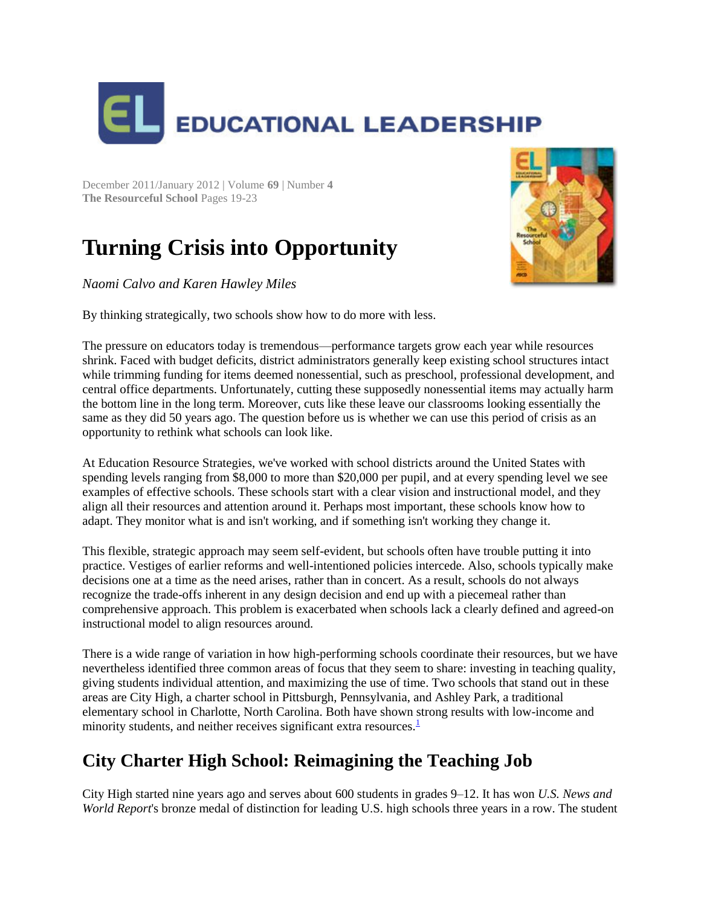

December 2011/January 2012 | Volume **69** | Number **4 The Resourceful School** Pages 19-23

# **Turning Crisis into Opportunity**

*Naomi Calvo and Karen Hawley Miles*



The pressure on educators today is tremendous—performance targets grow each year while resources shrink. Faced with budget deficits, district administrators generally keep existing school structures intact while trimming funding for items deemed nonessential, such as preschool, professional development, and central office departments. Unfortunately, cutting these supposedly nonessential items may actually harm the bottom line in the long term. Moreover, cuts like these leave our classrooms looking essentially the same as they did 50 years ago. The question before us is whether we can use this period of crisis as an opportunity to rethink what schools can look like.

At Education Resource Strategies, we've worked with school districts around the United States with spending levels ranging from \$8,000 to more than \$20,000 per pupil, and at every spending level we see examples of effective schools. These schools start with a clear vision and instructional model, and they align all their resources and attention around it. Perhaps most important, these schools know how to adapt. They monitor what is and isn't working, and if something isn't working they change it.

This flexible, strategic approach may seem self-evident, but schools often have trouble putting it into practice. Vestiges of earlier reforms and well-intentioned policies intercede. Also, schools typically make decisions one at a time as the need arises, rather than in concert. As a result, schools do not always recognize the trade-offs inherent in any design decision and end up with a piecemeal rather than comprehensive approach. This problem is exacerbated when schools lack a clearly defined and agreed-on instructional model to align resources around.

There is a wide range of variation in how high-performing schools coordinate their resources, but we have nevertheless identified three common areas of focus that they seem to share: investing in teaching quality, giving students individual attention, and maximizing the use of time. Two schools that stand out in these areas are City High, a charter school in Pittsburgh, Pennsylvania, and Ashley Park, a traditional elementary school in Charlotte, North Carolina. Both have shown strong results with low-income and minority students, and neither receives significant extra resources[.](http://www.ascd.org/publications/educational-leadership/dec11/vol69/num04/Turning-Crisis-into-Opportunity.aspx#fn1)<sup>1</sup>

## **City Charter High School: Reimagining the Teaching Job**

City High started nine years ago and serves about 600 students in grades 9–12. It has won *U.S. News and World Report*'s bronze medal of distinction for leading U.S. high schools three years in a row. The student

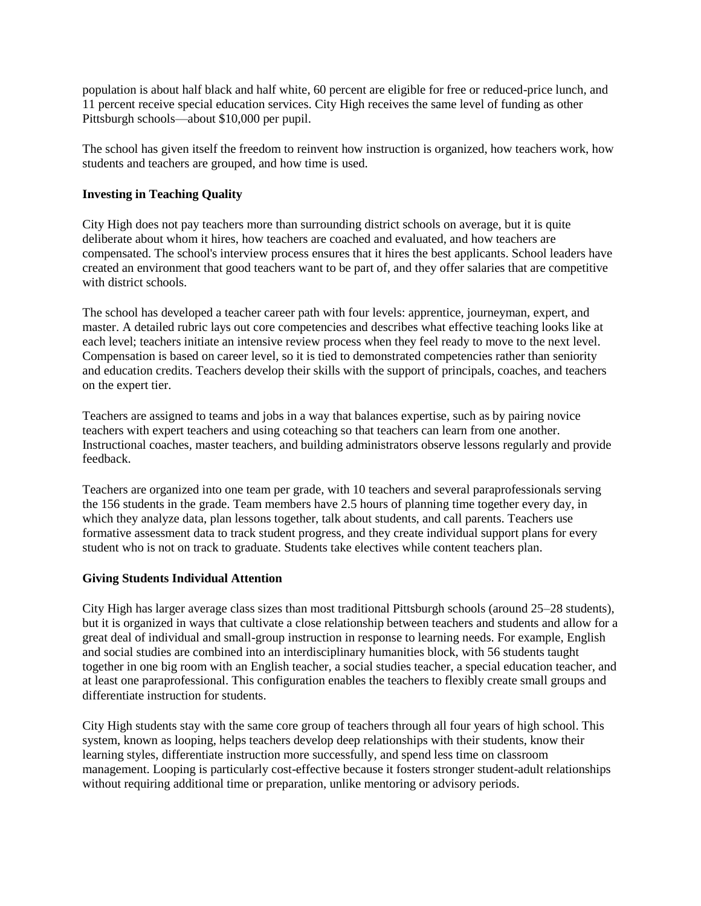population is about half black and half white, 60 percent are eligible for free or reduced-price lunch, and 11 percent receive special education services. City High receives the same level of funding as other Pittsburgh schools—about \$10,000 per pupil.

The school has given itself the freedom to reinvent how instruction is organized, how teachers work, how students and teachers are grouped, and how time is used.

#### **Investing in Teaching Quality**

City High does not pay teachers more than surrounding district schools on average, but it is quite deliberate about whom it hires, how teachers are coached and evaluated, and how teachers are compensated. The school's interview process ensures that it hires the best applicants. School leaders have created an environment that good teachers want to be part of, and they offer salaries that are competitive with district schools.

The school has developed a teacher career path with four levels: apprentice, journeyman, expert, and master. A detailed rubric lays out core competencies and describes what effective teaching looks like at each level; teachers initiate an intensive review process when they feel ready to move to the next level. Compensation is based on career level, so it is tied to demonstrated competencies rather than seniority and education credits. Teachers develop their skills with the support of principals, coaches, and teachers on the expert tier.

Teachers are assigned to teams and jobs in a way that balances expertise, such as by pairing novice teachers with expert teachers and using coteaching so that teachers can learn from one another. Instructional coaches, master teachers, and building administrators observe lessons regularly and provide feedback.

Teachers are organized into one team per grade, with 10 teachers and several paraprofessionals serving the 156 students in the grade. Team members have 2.5 hours of planning time together every day, in which they analyze data, plan lessons together, talk about students, and call parents. Teachers use formative assessment data to track student progress, and they create individual support plans for every student who is not on track to graduate. Students take electives while content teachers plan.

#### **Giving Students Individual Attention**

City High has larger average class sizes than most traditional Pittsburgh schools (around 25–28 students), but it is organized in ways that cultivate a close relationship between teachers and students and allow for a great deal of individual and small-group instruction in response to learning needs. For example, English and social studies are combined into an interdisciplinary humanities block, with 56 students taught together in one big room with an English teacher, a social studies teacher, a special education teacher, and at least one paraprofessional. This configuration enables the teachers to flexibly create small groups and differentiate instruction for students.

City High students stay with the same core group of teachers through all four years of high school. This system, known as looping, helps teachers develop deep relationships with their students, know their learning styles, differentiate instruction more successfully, and spend less time on classroom management. Looping is particularly cost-effective because it fosters stronger student-adult relationships without requiring additional time or preparation, unlike mentoring or advisory periods.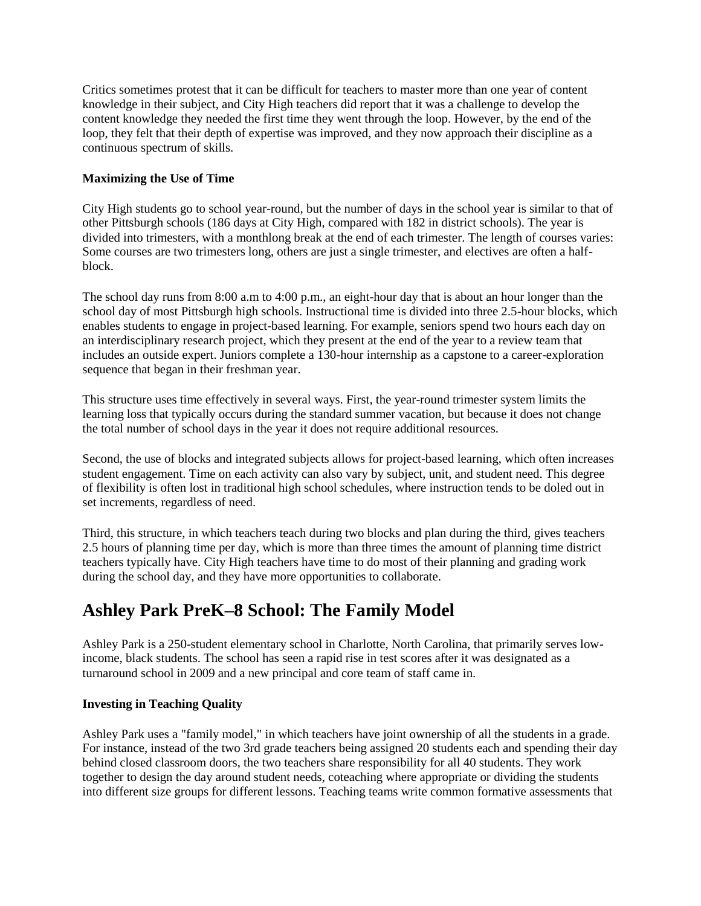Critics sometimes protest that it can be difficult for teachers to master more than one year of content knowledge in their subject, and City High teachers did report that it was a challenge to develop the content knowledge they needed the first time they went through the loop. However, by the end of the loop, they felt that their depth of expertise was improved, and they now approach their discipline as a continuous spectrum of skills.

#### **Maximizing the Use of Time**

City High students go to school year-round, but the number of days in the school year is similar to that of other Pittsburgh schools (186 days at City High, compared with 182 in district schools). The year is divided into trimesters, with a monthlong break at the end of each trimester. The length of courses varies: Some courses are two trimesters long, others are just a single trimester, and electives are often a halfblock.

The school day runs from 8:00 a.m to 4:00 p.m., an eight-hour day that is about an hour longer than the school day of most Pittsburgh high schools. Instructional time is divided into three 2.5-hour blocks, which enables students to engage in project-based learning. For example, seniors spend two hours each day on an interdisciplinary research project, which they present at the end of the year to a review team that includes an outside expert. Juniors complete a 130-hour internship as a capstone to a career-exploration sequence that began in their freshman year.

This structure uses time effectively in several ways. First, the year-round trimester system limits the learning loss that typically occurs during the standard summer vacation, but because it does not change the total number of school days in the year it does not require additional resources.

Second, the use of blocks and integrated subjects allows for project-based learning, which often increases student engagement. Time on each activity can also vary by subject, unit, and student need. This degree of flexibility is often lost in traditional high school schedules, where instruction tends to be doled out in set increments, regardless of need.

Third, this structure, in which teachers teach during two blocks and plan during the third, gives teachers 2.5 hours of planning time per day, which is more than three times the amount of planning time district teachers typically have. City High teachers have time to do most of their planning and grading work during the school day, and they have more opportunities to collaborate.

### **Ashley Park PreK–8 School: The Family Model**

Ashley Park is a 250-student elementary school in Charlotte, North Carolina, that primarily serves lowincome, black students. The school has seen a rapid rise in test scores after it was designated as a turnaround school in 2009 and a new principal and core team of staff came in.

#### **Investing in Teaching Quality**

Ashley Park uses a "family model," in which teachers have joint ownership of all the students in a grade. For instance, instead of the two 3rd grade teachers being assigned 20 students each and spending their day behind closed classroom doors, the two teachers share responsibility for all 40 students. They work together to design the day around student needs, coteaching where appropriate or dividing the students into different size groups for different lessons. Teaching teams write common formative assessments that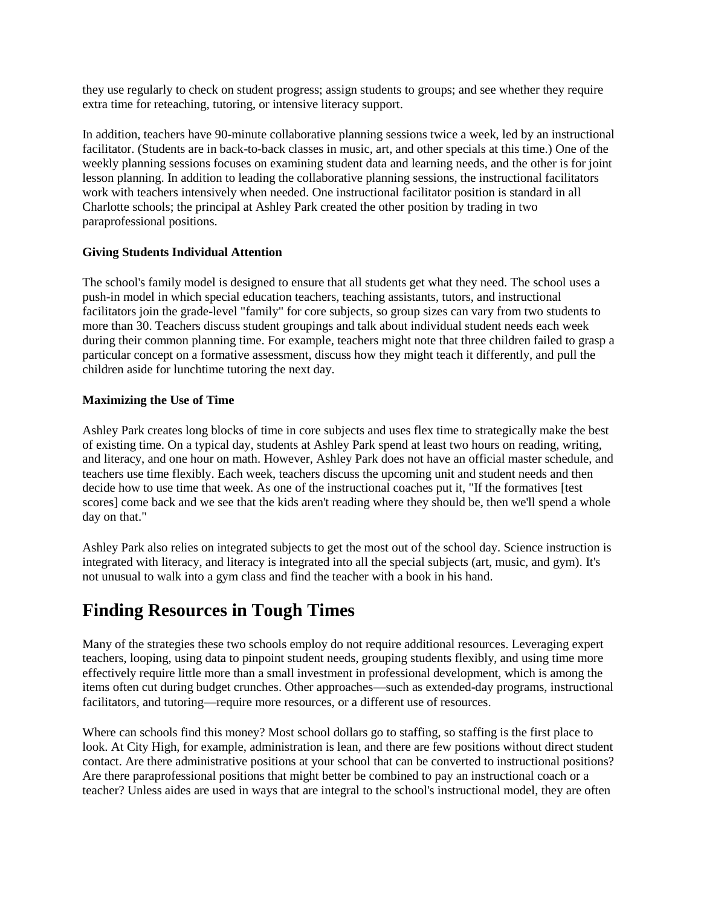they use regularly to check on student progress; assign students to groups; and see whether they require extra time for reteaching, tutoring, or intensive literacy support.

In addition, teachers have 90-minute collaborative planning sessions twice a week, led by an instructional facilitator. (Students are in back-to-back classes in music, art, and other specials at this time.) One of the weekly planning sessions focuses on examining student data and learning needs, and the other is for joint lesson planning. In addition to leading the collaborative planning sessions, the instructional facilitators work with teachers intensively when needed. One instructional facilitator position is standard in all Charlotte schools; the principal at Ashley Park created the other position by trading in two paraprofessional positions.

#### **Giving Students Individual Attention**

The school's family model is designed to ensure that all students get what they need. The school uses a push-in model in which special education teachers, teaching assistants, tutors, and instructional facilitators join the grade-level "family" for core subjects, so group sizes can vary from two students to more than 30. Teachers discuss student groupings and talk about individual student needs each week during their common planning time. For example, teachers might note that three children failed to grasp a particular concept on a formative assessment, discuss how they might teach it differently, and pull the children aside for lunchtime tutoring the next day.

#### **Maximizing the Use of Time**

Ashley Park creates long blocks of time in core subjects and uses flex time to strategically make the best of existing time. On a typical day, students at Ashley Park spend at least two hours on reading, writing, and literacy, and one hour on math. However, Ashley Park does not have an official master schedule, and teachers use time flexibly. Each week, teachers discuss the upcoming unit and student needs and then decide how to use time that week. As one of the instructional coaches put it, "If the formatives [test scores] come back and we see that the kids aren't reading where they should be, then we'll spend a whole day on that."

Ashley Park also relies on integrated subjects to get the most out of the school day. Science instruction is integrated with literacy, and literacy is integrated into all the special subjects (art, music, and gym). It's not unusual to walk into a gym class and find the teacher with a book in his hand.

### **Finding Resources in Tough Times**

Many of the strategies these two schools employ do not require additional resources. Leveraging expert teachers, looping, using data to pinpoint student needs, grouping students flexibly, and using time more effectively require little more than a small investment in professional development, which is among the items often cut during budget crunches. Other approaches—such as extended-day programs, instructional facilitators, and tutoring—require more resources, or a different use of resources.

Where can schools find this money? Most school dollars go to staffing, so staffing is the first place to look. At City High, for example, administration is lean, and there are few positions without direct student contact. Are there administrative positions at your school that can be converted to instructional positions? Are there paraprofessional positions that might better be combined to pay an instructional coach or a teacher? Unless aides are used in ways that are integral to the school's instructional model, they are often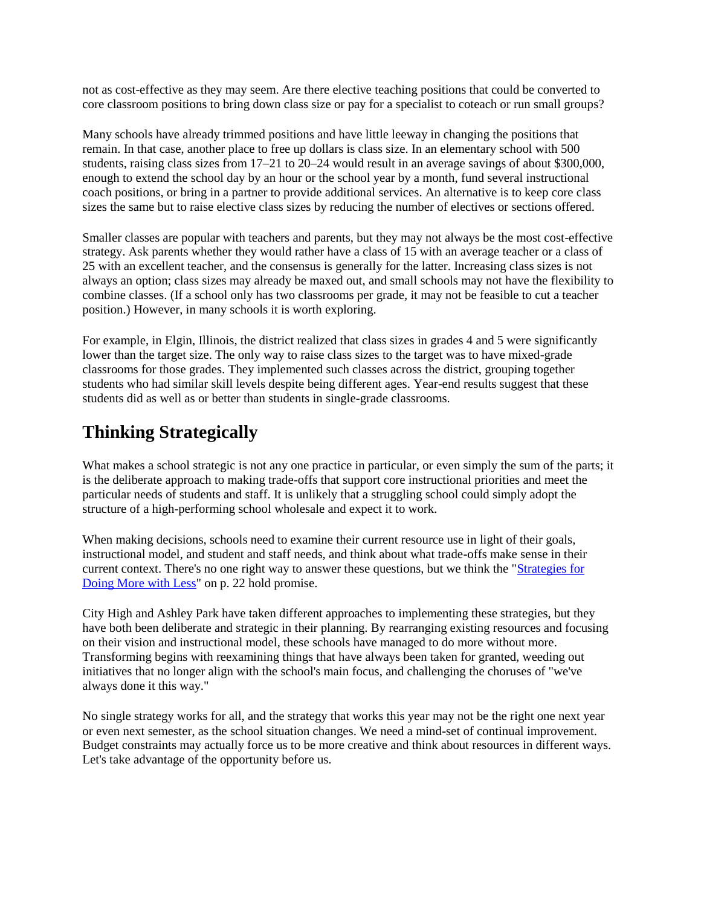not as cost-effective as they may seem. Are there elective teaching positions that could be converted to core classroom positions to bring down class size or pay for a specialist to coteach or run small groups?

Many schools have already trimmed positions and have little leeway in changing the positions that remain. In that case, another place to free up dollars is class size. In an elementary school with 500 students, raising class sizes from 17–21 to 20–24 would result in an average savings of about \$300,000, enough to extend the school day by an hour or the school year by a month, fund several instructional coach positions, or bring in a partner to provide additional services. An alternative is to keep core class sizes the same but to raise elective class sizes by reducing the number of electives or sections offered.

Smaller classes are popular with teachers and parents, but they may not always be the most cost-effective strategy. Ask parents whether they would rather have a class of 15 with an average teacher or a class of 25 with an excellent teacher, and the consensus is generally for the latter. Increasing class sizes is not always an option; class sizes may already be maxed out, and small schools may not have the flexibility to combine classes. (If a school only has two classrooms per grade, it may not be feasible to cut a teacher position.) However, in many schools it is worth exploring.

For example, in Elgin, Illinois, the district realized that class sizes in grades 4 and 5 were significantly lower than the target size. The only way to raise class sizes to the target was to have mixed-grade classrooms for those grades. They implemented such classes across the district, grouping together students who had similar skill levels despite being different ages. Year-end results suggest that these students did as well as or better than students in single-grade classrooms.

### **Thinking Strategically**

What makes a school strategic is not any one practice in particular, or even simply the sum of the parts; it is the deliberate approach to making trade-offs that support core instructional priorities and meet the particular needs of students and staff. It is unlikely that a struggling school could simply adopt the structure of a high-performing school wholesale and expect it to work.

When making decisions, schools need to examine their current resource use in light of their goals, instructional model, and student and staff needs, and think about what trade-offs make sense in their current context. There's no one right way to answer these questions, but we think the ["Strategies for](http://www.ascd.org/publications/educational-leadership/dec11/vol69/num04/Turning-Crisis-into-Opportunity.aspx#MoreWLess)  [Doing More with Less"](http://www.ascd.org/publications/educational-leadership/dec11/vol69/num04/Turning-Crisis-into-Opportunity.aspx#MoreWLess) on p. 22 hold promise.

City High and Ashley Park have taken different approaches to implementing these strategies, but they have both been deliberate and strategic in their planning. By rearranging existing resources and focusing on their vision and instructional model, these schools have managed to do more without more. Transforming begins with reexamining things that have always been taken for granted, weeding out initiatives that no longer align with the school's main focus, and challenging the choruses of "we've always done it this way."

No single strategy works for all, and the strategy that works this year may not be the right one next year or even next semester, as the school situation changes. We need a mind-set of continual improvement. Budget constraints may actually force us to be more creative and think about resources in different ways. Let's take advantage of the opportunity before us.